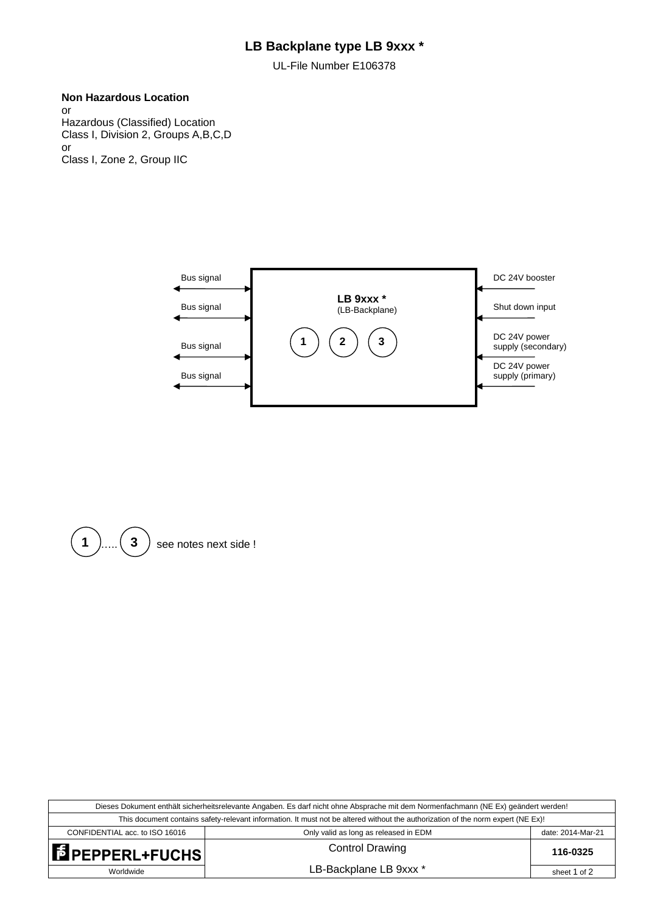# **LB Backplane type LB 9xxx \***

UL-File Number E106378

# **Non Hazardous Location**

or Hazardous (Classified) Location Class I, Division 2, Groups A,B,C,D or Class I, Zone 2, Group IIC





| Dieses Dokument enthält sicherheitsrelevante Angaben. Es darf nicht ohne Absprache mit dem Normenfachmann (NE Ex) geändert werden! |                                       |                   |  |
|------------------------------------------------------------------------------------------------------------------------------------|---------------------------------------|-------------------|--|
| This document contains safety-relevant information. It must not be altered without the authorization of the norm expert (NE Ex)!   |                                       |                   |  |
| CONFIDENTIAL acc. to ISO 16016                                                                                                     | Only valid as long as released in EDM | date: 2014-Mar-21 |  |
| <b>E</b> PEPPERL+FUCHS                                                                                                             | <b>Control Drawing</b>                | 116-0325          |  |
| Worldwide                                                                                                                          | LB-Backplane LB 9xxx *                | sheet 1 of 2      |  |